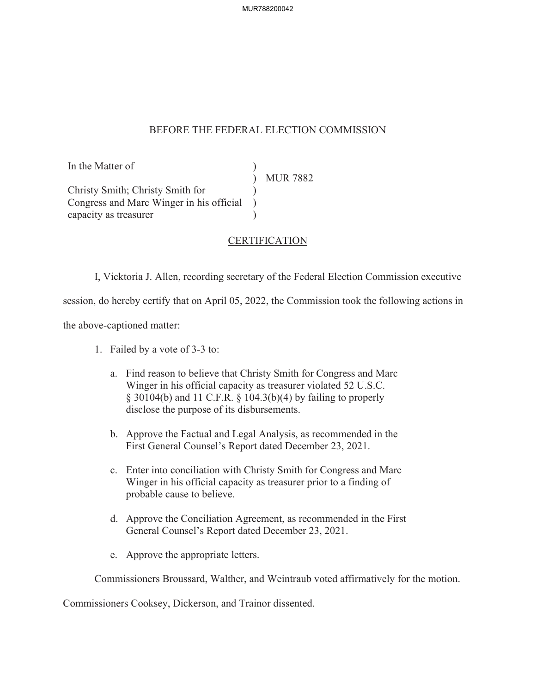## BEFORE THE FEDERAL ELECTION COMMISSION

In the Matter of  $)$ <br>  $\text{MUR } 7882$ Christy Smith; Christy Smith for ) Congress and Marc Winger in his official ) capacity as treasurer (a)

## CERTIFICATION

I, Vicktoria J. Allen, recording secretary of the Federal Election Commission executive

session, do hereby certify that on April 05, 2022, the Commission took the following actions in

the above-captioned matter:

- 1. Failed by a vote of 3-3 to:
	- a. Find reason to believe that Christy Smith for Congress and Marc Winger in his official capacity as treasurer violated 52 U.S.C. § 30104(b) and 11 C.F.R. § 104.3(b)(4) by failing to properly disclose the purpose of its disbursements.
	- b. Approve the Factual and Legal Analysis, as recommended in the First General Counsel's Report dated December 23, 2021.
	- c. Enter into conciliation with Christy Smith for Congress and Marc Winger in his official capacity as treasurer prior to a finding of probable cause to believe.
	- d. Approve the Conciliation Agreement, as recommended in the First General Counsel's Report dated December 23, 2021.
	- e. Approve the appropriate letters.

Commissioners Broussard, Walther, and Weintraub voted affirmatively for the motion.

Commissioners Cooksey, Dickerson, and Trainor dissented.